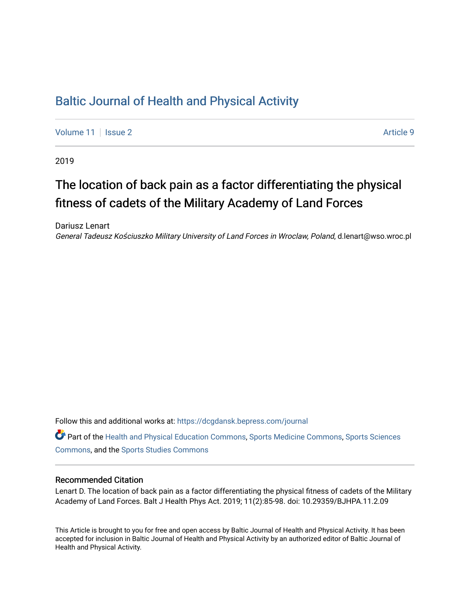# [Baltic Journal of Health and Physical Activity](https://dcgdansk.bepress.com/journal)

[Volume 11](https://dcgdansk.bepress.com/journal/vol11) | [Issue 2](https://dcgdansk.bepress.com/journal/vol11/iss2) Article 9

2019

# The location of back pain as a factor differentiating the physical fitness of cadets of the Military Academy of Land Forces

Dariusz Lenart General Tadeusz Kościuszko Military University of Land Forces in Wroclaw, Poland, d.lenart@wso.wroc.pl

Follow this and additional works at: [https://dcgdansk.bepress.com/journal](https://dcgdansk.bepress.com/journal?utm_source=dcgdansk.bepress.com%2Fjournal%2Fvol11%2Fiss2%2F9&utm_medium=PDF&utm_campaign=PDFCoverPages)

Part of the [Health and Physical Education Commons](http://network.bepress.com/hgg/discipline/1327?utm_source=dcgdansk.bepress.com%2Fjournal%2Fvol11%2Fiss2%2F9&utm_medium=PDF&utm_campaign=PDFCoverPages), [Sports Medicine Commons,](http://network.bepress.com/hgg/discipline/1331?utm_source=dcgdansk.bepress.com%2Fjournal%2Fvol11%2Fiss2%2F9&utm_medium=PDF&utm_campaign=PDFCoverPages) [Sports Sciences](http://network.bepress.com/hgg/discipline/759?utm_source=dcgdansk.bepress.com%2Fjournal%2Fvol11%2Fiss2%2F9&utm_medium=PDF&utm_campaign=PDFCoverPages) [Commons](http://network.bepress.com/hgg/discipline/759?utm_source=dcgdansk.bepress.com%2Fjournal%2Fvol11%2Fiss2%2F9&utm_medium=PDF&utm_campaign=PDFCoverPages), and the [Sports Studies Commons](http://network.bepress.com/hgg/discipline/1198?utm_source=dcgdansk.bepress.com%2Fjournal%2Fvol11%2Fiss2%2F9&utm_medium=PDF&utm_campaign=PDFCoverPages) 

#### Recommended Citation

Lenart D. The location of back pain as a factor differentiating the physical fitness of cadets of the Military Academy of Land Forces. Balt J Health Phys Act. 2019; 11(2):85-98. doi: 10.29359/BJHPA.11.2.09

This Article is brought to you for free and open access by Baltic Journal of Health and Physical Activity. It has been accepted for inclusion in Baltic Journal of Health and Physical Activity by an authorized editor of Baltic Journal of Health and Physical Activity.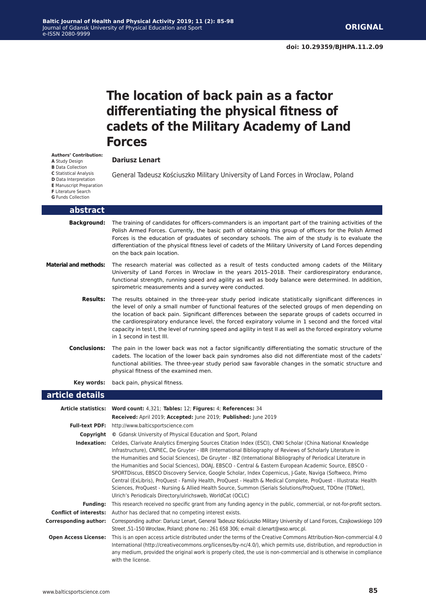# **The location of back pain as a factor differentiating the physical fitness of cadets of the Military Academy of Land Forces**

#### **Dariusz Lenart**

General Tadeusz Kościuszko Military University of Land Forces in Wroclaw, Poland

| <b>F</b> Literature Search<br><b>G</b> Funds Collection |                                                                                                                                                                                                                                                                                                                                                                                                                                                                                                                                                                          |
|---------------------------------------------------------|--------------------------------------------------------------------------------------------------------------------------------------------------------------------------------------------------------------------------------------------------------------------------------------------------------------------------------------------------------------------------------------------------------------------------------------------------------------------------------------------------------------------------------------------------------------------------|
| abstract                                                |                                                                                                                                                                                                                                                                                                                                                                                                                                                                                                                                                                          |
| <b>Background:</b>                                      | The training of candidates for officers-commanders is an important part of the training activities of the<br>Polish Armed Forces. Currently, the basic path of obtaining this group of officers for the Polish Armed<br>Forces is the education of graduates of secondary schools. The aim of the study is to evaluate the<br>differentiation of the physical fitness level of cadets of the Military University of Land Forces depending<br>on the back pain location.                                                                                                  |
| <b>Material and methods:</b>                            | The research material was collected as a result of tests conducted among cadets of the Military<br>University of Land Forces in Wroclaw in the years 2015-2018. Their cardiorespiratory endurance,<br>functional strength, running speed and agility as well as body balance were determined. In addition,<br>spirometric measurements and a survey were conducted.                                                                                                                                                                                                      |
| <b>Results:</b>                                         | The results obtained in the three-year study period indicate statistically significant differences in<br>the level of only a small number of functional features of the selected groups of men depending on<br>the location of back pain. Significant differences between the separate groups of cadets occurred in<br>the cardiorespiratory endurance level, the forced expiratory volume in 1 second and the forced vital<br>capacity in test I, the level of running speed and agility in test II as well as the forced expiratory volume<br>in 1 second in test III. |
| <b>Conclusions:</b>                                     | The pain in the lower back was not a factor significantly differentiating the somatic structure of the<br>cadets. The location of the lower back pain syndromes also did not differentiate most of the cadets'<br>functional abilities. The three-year study period saw favorable changes in the somatic structure and<br>physical fitness of the examined men.                                                                                                                                                                                                          |
| Key words:                                              | back pain, physical fitness.                                                                                                                                                                                                                                                                                                                                                                                                                                                                                                                                             |
| .<br>.                                                  |                                                                                                                                                                                                                                                                                                                                                                                                                                                                                                                                                                          |

#### **article details**

**Authors' Contribution: A** Study Design **B** Data Collection **C** Statistical Analysis **D** Data Interpretation **E** Manuscript Preparation

|                               | Article statistics: Word count: 4,321; Tables: 12; Figures: 4; References: 34                                                                                                                                                                                                                                                                                                                                                                                                                                                                                                                                                                                                                                                                                                                                                                                 |
|-------------------------------|---------------------------------------------------------------------------------------------------------------------------------------------------------------------------------------------------------------------------------------------------------------------------------------------------------------------------------------------------------------------------------------------------------------------------------------------------------------------------------------------------------------------------------------------------------------------------------------------------------------------------------------------------------------------------------------------------------------------------------------------------------------------------------------------------------------------------------------------------------------|
|                               | Received: April 2019; Accepted: June 2019; Published: June 2019                                                                                                                                                                                                                                                                                                                                                                                                                                                                                                                                                                                                                                                                                                                                                                                               |
|                               | <b>Full-text PDF:</b> http://www.balticsportscience.com                                                                                                                                                                                                                                                                                                                                                                                                                                                                                                                                                                                                                                                                                                                                                                                                       |
| Copyright                     | © Gdansk University of Physical Education and Sport, Poland                                                                                                                                                                                                                                                                                                                                                                                                                                                                                                                                                                                                                                                                                                                                                                                                   |
| Indexation:                   | Celdes, Clarivate Analytics Emerging Sources Citation Index (ESCI), CNKI Scholar (China National Knowledge<br>Infrastructure), CNPIEC, De Gruyter - IBR (International Bibliography of Reviews of Scholarly Literature in<br>the Humanities and Social Sciences), De Gruyter - IBZ (International Bibliography of Periodical Literature in<br>the Humanities and Social Sciences), DOAJ, EBSCO - Central & Eastern European Academic Source, EBSCO -<br>SPORTDiscus, EBSCO Discovery Service, Google Scholar, Index Copernicus, J-Gate, Naviga (Softweco, Primo<br>Central (ExLibris), ProQuest - Family Health, ProQuest - Health & Medical Complete, ProQuest - Illustrata: Health<br>Sciences, ProQuest - Nursing & Allied Health Source, Summon (Serials Solutions/ProQuest, TDOne (TDNet),<br>Ulrich's Periodicals Directory/ulrichsweb, WorldCat (OCLC) |
| <b>Funding:</b>               | This research received no specific grant from any funding agency in the public, commercial, or not-for-profit sectors.                                                                                                                                                                                                                                                                                                                                                                                                                                                                                                                                                                                                                                                                                                                                        |
| <b>Conflict of interests:</b> | Author has declared that no competing interest exists.                                                                                                                                                                                                                                                                                                                                                                                                                                                                                                                                                                                                                                                                                                                                                                                                        |
| <b>Corresponding author:</b>  | Corresponding author: Dariusz Lenart, General Tadeusz Kościuszko Military University of Land Forces, Czajkowskiego 109<br>Street, 51-150 Wrocław, Poland; phone no.: 261 658 306; e-mail: d.lenart@wso.wroc.pl.                                                                                                                                                                                                                                                                                                                                                                                                                                                                                                                                                                                                                                               |
| <b>Open Access License:</b>   | This is an open access article distributed under the terms of the Creative Commons Attribution-Non-commercial 4.0<br>International (http://creativecommons.org/licenses/by-nc/4.0/), which permits use, distribution, and reproduction in<br>any medium, provided the original work is properly cited, the use is non-commercial and is otherwise in compliance<br>with the license.                                                                                                                                                                                                                                                                                                                                                                                                                                                                          |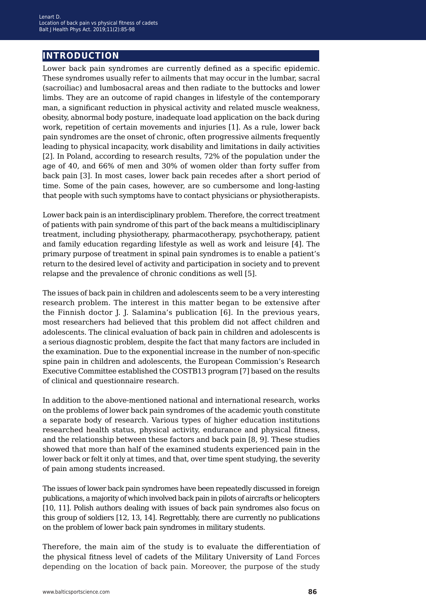## **introduction**

Lower back pain syndromes are currently defined as a specific epidemic. These syndromes usually refer to ailments that may occur in the lumbar, sacral (sacroiliac) and lumbosacral areas and then radiate to the buttocks and lower limbs. They are an outcome of rapid changes in lifestyle of the contemporary man, a significant reduction in physical activity and related muscle weakness, obesity, abnormal body posture, inadequate load application on the back during work, repetition of certain movements and injuries [1]. As a rule, lower back pain syndromes are the onset of chronic, often progressive ailments frequently leading to physical incapacity, work disability and limitations in daily activities [2]. In Poland, according to research results, 72% of the population under the age of 40, and 66% of men and 30% of women older than forty suffer from back pain [3]. In most cases, lower back pain recedes after a short period of time. Some of the pain cases, however, are so cumbersome and long-lasting that people with such symptoms have to contact physicians or physiotherapists.

Lower back pain is an interdisciplinary problem. Therefore, the correct treatment of patients with pain syndrome of this part of the back means a multidisciplinary treatment, including physiotherapy, pharmacotherapy, psychotherapy, patient and family education regarding lifestyle as well as work and leisure [4]. The primary purpose of treatment in spinal pain syndromes is to enable a patient's return to the desired level of activity and participation in society and to prevent relapse and the prevalence of chronic conditions as well [5].

The issues of back pain in children and adolescents seem to be a very interesting research problem. The interest in this matter began to be extensive after the Finnish doctor J. J. Salamina's publication [6]. In the previous years, most researchers had believed that this problem did not affect children and adolescents. The clinical evaluation of back pain in children and adolescents is a serious diagnostic problem, despite the fact that many factors are included in the examination. Due to the exponential increase in the number of non-specific spine pain in children and adolescents, the European Commission's Research Executive Committee established the COSTB13 program [7] based on the results of clinical and questionnaire research.

In addition to the above-mentioned national and international research, works on the problems of lower back pain syndromes of the academic youth constitute a separate body of research. Various types of higher education institutions researched health status, physical activity, endurance and physical fitness, and the relationship between these factors and back pain [8, 9]. These studies showed that more than half of the examined students experienced pain in the lower back or felt it only at times, and that, over time spent studying, the severity of pain among students increased.

The issues of lower back pain syndromes have been repeatedly discussed in foreign publications, a majority of which involved back pain in pilots of aircrafts or helicopters [10, 11]. Polish authors dealing with issues of back pain syndromes also focus on this group of soldiers [12, 13, 14]. Regrettably, there are currently no publications on the problem of lower back pain syndromes in military students.

Therefore, the main aim of the study is to evaluate the differentiation of the physical fitness level of cadets of the Military University of Land Forces depending on the location of back pain. Moreover, the purpose of the study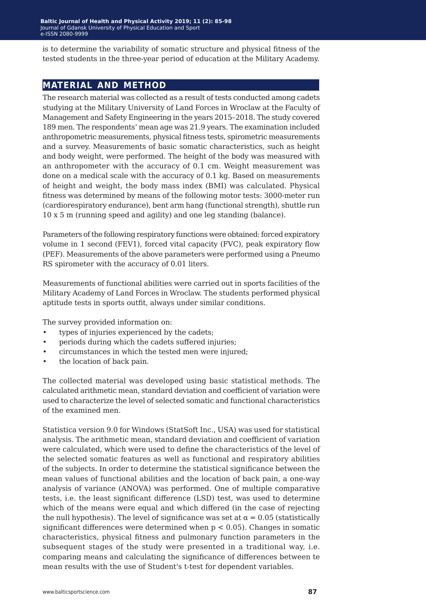is to determine the variability of somatic structure and physical fitness of the tested students in the three-year period of education at the Military Academy.

## **material and method**

The research material was collected as a result of tests conducted among cadets studying at the Military University of Land Forces in Wroclaw at the Faculty of Management and Safety Engineering in the years 2015–2018. The study covered 189 men. The respondents' mean age was 21.9 years. The examination included anthropometric measurements, physical fitness tests, spirometric measurements and a survey. Measurements of basic somatic characteristics, such as height and body weight, were performed. The height of the body was measured with an anthropometer with the accuracy of 0.1 cm. Weight measurement was done on a medical scale with the accuracy of 0.1 kg. Based on measurements of height and weight, the body mass index (BMI) was calculated. Physical fitness was determined by means of the following motor tests: 3000-meter run (cardiorespiratory endurance), bent arm hang (functional strength), shuttle run 10 x 5 m (running speed and agility) and one leg standing (balance).

Parameters of the following respiratory functions were obtained: forced expiratory volume in 1 second (FEV1), forced vital capacity (FVC), peak expiratory flow (PEF). Measurements of the above parameters were performed using a Pneumo RS spirometer with the accuracy of 0.01 liters.

Measurements of functional abilities were carried out in sports facilities of the Military Academy of Land Forces in Wroclaw. The students performed physical aptitude tests in sports outfit, always under similar conditions.

The survey provided information on:

- types of injuries experienced by the cadets;
- periods during which the cadets suffered injuries;
- circumstances in which the tested men were injured;
- the location of back pain.

The collected material was developed using basic statistical methods. The calculated arithmetic mean, standard deviation and coefficient of variation were used to characterize the level of selected somatic and functional characteristics of the examined men.

Statistica version 9.0 for Windows (StatSoft Inc., USA) was used for statistical analysis. The arithmetic mean, standard deviation and coefficient of variation were calculated, which were used to define the characteristics of the level of the selected somatic features as well as functional and respiratory abilities of the subjects. In order to determine the statistical significance between the mean values of functional abilities and the location of back pain, a one-way analysis of variance (ANOVA) was performed. One of multiple comparative tests, i.e. the least significant difference (LSD) test, was used to determine which of the means were equal and which differed (in the case of rejecting the null hypothesis). The level of significance was set at  $\alpha = 0.05$  (statistically significant differences were determined when  $p < 0.05$ ). Changes in somatic characteristics, physical fitness and pulmonary function parameters in the subsequent stages of the study were presented in a traditional way, i.e. comparing means and calculating the significance of differences between te mean results with the use of Student's t-test for dependent variables.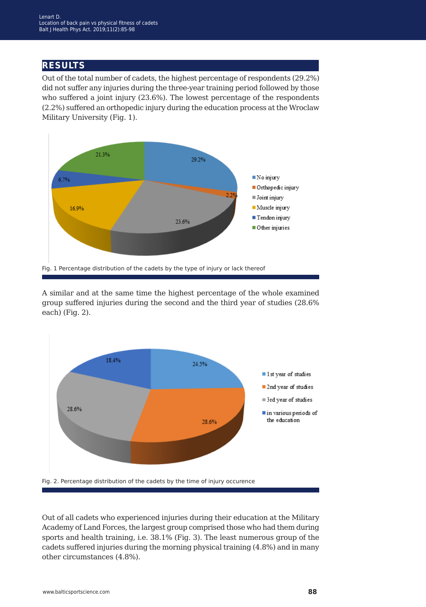## **results**

Out of the total number of cadets, the highest percentage of respondents (29.2%) did not suffer any injuries during the three-year training period followed by those who suffered a joint injury (23.6%). The lowest percentage of the respondents (2.2%) suffered an orthopedic injury during the education process at the Wroclaw Military University (Fig. 1).



A similar and at the same time the highest percentage of the whole examined group suffered injuries during the second and the third year of studies (28.6% each) (Fig. 2).



Fig. 2. Percentage distribution of the cadets by the time of injury occurence

Out of all cadets who experienced injuries during their education at the Military Academy of Land Forces, the largest group comprised those who had them during sports and health training, i.e. 38.1% (Fig. 3). The least numerous group of the cadets suffered injuries during the morning physical training (4.8%) and in many other circumstances (4.8%).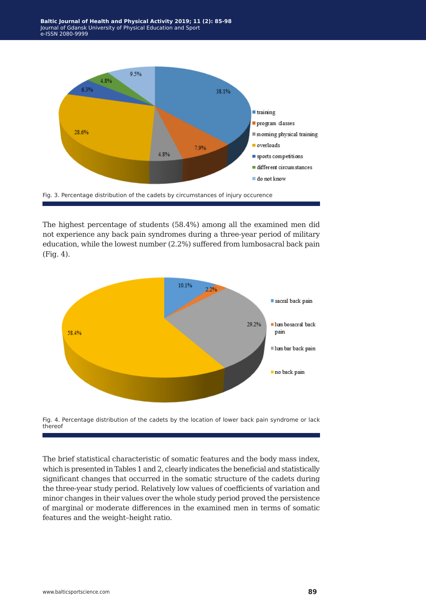

The highest percentage of students (58.4%) among all the examined men did not experience any back pain syndromes during a three-year period of military education, while the lowest number (2.2%) suffered from lumbosacral back pain (Fig. 4).





The brief statistical characteristic of somatic features and the body mass index, which is presented in Tables 1 and 2, clearly indicates the beneficial and statistically significant changes that occurred in the somatic structure of the cadets during the three-year study period. Relatively low values of coefficients of variation and minor changes in their values over the whole study period proved the persistence of marginal or moderate differences in the examined men in terms of somatic features and the weight–height ratio.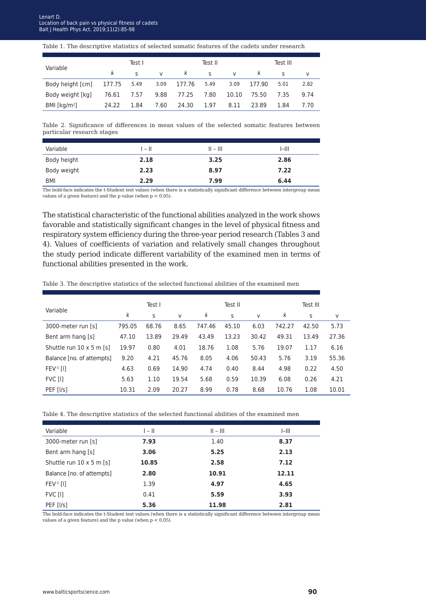#### Table 1. The descriptive statistics of selected somatic features of the cadets under research

| Variable                     |          | Test I      |              |           | Test II      |       |           | Test III |      |
|------------------------------|----------|-------------|--------------|-----------|--------------|-------|-----------|----------|------|
|                              | <b>x</b> | $\varsigma$ | $\mathsf{V}$ | $\bar{x}$ | $\mathsf{S}$ | V     | $\bar{x}$ |          |      |
| Body height [cm] 177.75 5.49 |          |             | 3.09         | 177.76    | 5.49         | 3.09  | 177.90    | 5.01     | 2.82 |
| Body weight [kg]             | 76.61    | 7.57        | 9.88         | 77.25     | 7.80         | 10.10 | 75.50     | 7.35     | 9.74 |
| BMI [ $kg/m2$ ]              | 24.22    | 1.84        | 7.60         | 24.30     | 1.97         | 8.11  | 23.89     | 1.84     | 7.70 |

Table 2. Significance of differences in mean values of the selected somatic features between particular research stages

| Variable    | 1 – II | $   -    $ | I-III |
|-------------|--------|------------|-------|
| Body height | 2.18   | 3.25       | 2.86  |
| Body weight | 2.23   | 8.97       | 7.22  |
| <b>BMI</b>  | 2.29   | 7.99       | 6.44  |

The bold-face indicates the t-Student test values (when there is a statistically significant difference between intergroup mean values of a given feature) and the p value (when p < 0.05).

The statistical characteristic of the functional abilities analyzed in the work shows favorable and statistically significant changes in the level of physical fitness and respiratory system efficiency during the three-year period research (Tables 3 and 4). Values of coefficients of variation and relatively small changes throughout the study period indicate different variability of the examined men in terms of functional abilities presented in the work.

| Table 3. The descriptive statistics of the selected functional abilities of the examined men |  |
|----------------------------------------------------------------------------------------------|--|
|----------------------------------------------------------------------------------------------|--|

|                                 |        | Test I |       |        | Test II |       |        | Test III |       |
|---------------------------------|--------|--------|-------|--------|---------|-------|--------|----------|-------|
| Variable                        | x      | S      | v     | хī     | S       | V     | хī     | S        | V     |
| 3000-meter run [s]              | 795.05 | 68.76  | 8.65  | 747.46 | 45.10   | 6.03  | 742.27 | 42.50    | 5.73  |
| Bent arm hang [s]               | 47.10  | 13.89  | 29.49 | 43.49  | 13.23   | 30.42 | 49.31  | 13.49    | 27.36 |
| Shuttle run $10 \times 5$ m [s] | 19.97  | 0.80   | 4.01  | 18.76  | 1.08    | 5.76  | 19.07  | 1.17     | 6.16  |
| Balance [no. of attempts]       | 9.20   | 4.21   | 45.76 | 8.05   | 4.06    | 50.43 | 5.76   | 3.19     | 55.36 |
| $FEV-1$ [1]                     | 4.63   | 0.69   | 14.90 | 4.74   | 0.40    | 8.44  | 4.98   | 0.22     | 4.50  |
| FVC [I]                         | 5.63   | 1.10   | 19.54 | 5.68   | 0.59    | 10.39 | 6.08   | 0.26     | 4.21  |
| PEF [I/s]                       | 10.31  | 2.09   | 20.27 | 8.99   | 0.78    | 8.68  | 10.76  | 1.08     | 10.01 |

Table 4. The descriptive statistics of the selected functional abilities of the examined men

| Variable                        | $ -  $ | $   -    $ | $I-III$ |
|---------------------------------|--------|------------|---------|
| 3000-meter run [s]              | 7.93   | 1.40       | 8.37    |
| Bent arm hang [s]               | 3.06   | 5.25       | 2.13    |
| Shuttle run $10 \times 5$ m [s] | 10.85  | 2.58       | 7.12    |
| Balance [no. of attempts]       | 2.80   | 10.91      | 12.11   |
| $FEV-1$ [1]                     | 1.39   | 4.97       | 4.65    |
| FVC [I]                         | 0.41   | 5.59       | 3.93    |
| PEF [I/s]                       | 5.36   | 11.98      | 2.81    |

The bold-face indicates the t-Student test values (when there is a statistically significant difference between intergroup mean values of a given feature) and the p value (when  $p < 0.05$ ).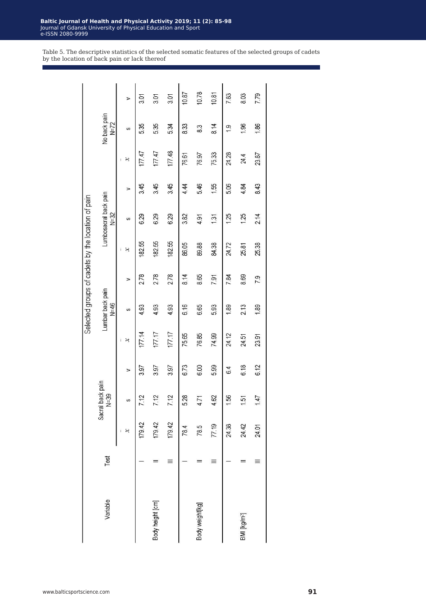Table 5. The descriptive statistics of the selected somatic features of the selected groups of cadets by the location of back pain or lack thereof

|                          |      |        |                            |      |        |                            |      | belected groups of cadets by the location of pain |                                   |      |        |                        |       |
|--------------------------|------|--------|----------------------------|------|--------|----------------------------|------|---------------------------------------------------|-----------------------------------|------|--------|------------------------|-------|
| Variable                 | Test |        | Sacral back pain<br>$N=39$ |      |        | Lumbar back pain<br>$N=46$ |      |                                                   | Lumbosacral back pain<br>$N = 32$ |      |        | No back pain<br>$N=72$ |       |
|                          |      | ×      | ဟ                          | ⋗    | ×      | ဖာ                         | ⋗    | ×                                                 | ဟ                                 | ⋗    | ×      | ပာ                     | ⋗     |
|                          |      | 179.42 | 7.12                       | 3.97 | 177.14 | 4.93                       | 278  | 182.55                                            | 6.29                              | 3.45 | 177.47 | 5.35                   | ప్ల   |
| Body height [cm]         |      | 179.42 | 7.12                       | 3.97 | 177.17 | 4.93                       | 2.78 | 182.55                                            | 6.29                              | 3.45 | 177.47 | 5.35                   | 3.01  |
|                          |      | 179.42 | 7.12                       | 3.97 | 177.17 | 4.93                       | 2.78 | 182.55                                            | 6.29                              | 3.45 | 177.48 | 5.34                   | 3.01  |
|                          |      | 78.4   | 5.28                       | 6.73 | 75.65  | 6.16                       | 8.14 | 86.05                                             | 3.82                              | 444  | 76.61  | 833                    | 10.87 |
| Body weight[kg]          |      | 78.5   | 4.71                       | 6.00 | 76.85  | 6.65                       | 8.65 | 89.88                                             | 4.91                              | 5.46 | 76.97  | 83                     | 10.78 |
|                          |      | 77.19  | 4.62                       | 5.99 | 74.99  | 5.93                       | 7.91 | 84.38                                             | 131                               | 1.55 | 75.33  | 8.14                   | 10.81 |
|                          |      | 24.38  | 1.56                       | 64   | 24.12  | 1.89                       | 784  | 24.72                                             | 1.25                              | 5.06 | 24.28  | တ                      | 7.83  |
| BMI [kg/m <sup>2</sup> ] |      | 24.42  | 1.51                       | 6.18 | 24.51  | 213                        | 8.69 | 25.81                                             | 1.25                              | 4.84 | 24.4   | 1.96                   | 8.03  |
|                          |      | 24.01  | 147                        | 6.12 | 23.91  | 1.89                       | 7.9  | 25.38                                             | 2.14                              | 8.43 | 23.87  | 1.86                   | 7.79  |
|                          |      |        |                            |      |        |                            |      |                                                   |                                   |      |        |                        |       |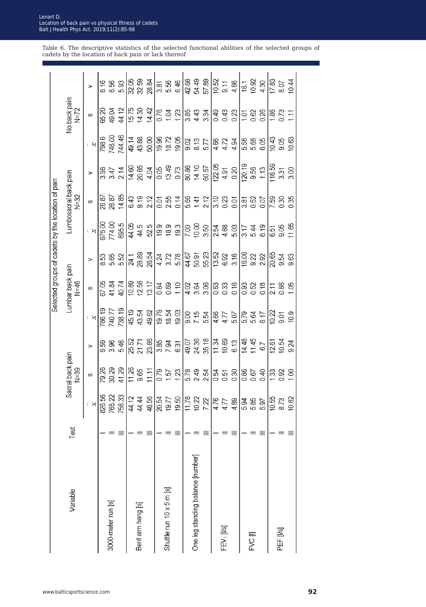|                                   |      |                            |                                               |                                                       |                                                      |                                                     |                         | Selected groups of cadets by the location of pain |                                 |                         |                            |                        |                      |
|-----------------------------------|------|----------------------------|-----------------------------------------------|-------------------------------------------------------|------------------------------------------------------|-----------------------------------------------------|-------------------------|---------------------------------------------------|---------------------------------|-------------------------|----------------------------|------------------------|----------------------|
| Variable                          | Test |                            | Sacral back pain<br>$N=39$                    |                                                       |                                                      | Lumbar back pain<br>$N=46$                          |                         |                                                   | Lumbosacral back pain<br>$N=32$ |                         |                            | No back pain<br>$N=72$ |                      |
|                                   |      | $\boldsymbol{\kappa}$      | S                                             | $\Rightarrow$                                         | $\boldsymbol{\varkappa}$                             | S                                                   | ⇒                       | $\boldsymbol{\mathsf{x}}$                         | ω                               | ⇒                       | $\aleph$                   | S                      | ⇒                    |
|                                   |      |                            | 79.26                                         | 9.59                                                  | 786.19                                               | 67.05                                               | 8.53                    | 675.00                                            | 26.87                           | 3.98                    | 798.6                      | 65.20                  | 8.16                 |
| 3000-meter run [s]                |      | 826.56<br>765.22<br>756.33 | 30.29                                         | 3.96                                                  | 740.77                                               | 41.84                                               | 5.65                    | 774.00                                            | 26.87                           | 3.47                    | 748.00                     | 49.04                  | 6.56                 |
|                                   |      |                            | 41.29                                         | 5.46                                                  | 738.19                                               | 40.74                                               | 5.52                    | 695.5                                             | 14.85                           | 214                     | 744.46                     | 44.12                  | 5.93                 |
|                                   |      | 44.12                      | 11.26                                         |                                                       | 45.19                                                |                                                     |                         | 44.05                                             | 6.43                            | 14,60                   | 49.14                      | 15.75                  | 32.05                |
| Bent arm hang [s]                 |      | 44.44                      | 9.65                                          | 25.52<br>21.71                                        | 43.54                                                | $\begin{array}{c} 10.89 \\ 12.58 \end{array}$       | 24.1<br>28.89           | 44.5                                              | 9.19                            | 20.65                   | 43.88                      | 14.30                  | 32.59                |
|                                   |      | 46.56                      | 11.11                                         | 23.86                                                 | 49.62                                                | 13.17                                               | 26.54                   | 52.5                                              | 212                             | 4.04                    | 50.00                      | 14.42                  | 28.84                |
|                                   |      | 20.54                      | 0.79                                          | 3.85                                                  | 19.79                                                | 0.84                                                | 4.24                    | 19.9                                              | 0.01                            | 0.05                    | 19.96                      | 0.76                   | 3.81                 |
| Shuttle run 10 x 5 m [s]          |      | 19.77                      | 1.57                                          | 7.94                                                  | 18.54                                                |                                                     |                         | 18.9                                              |                                 |                         | 18.72                      |                        | 5.56<br>6.46         |
|                                   |      | 19.50                      | 1.23                                          | 631                                                   | 19.03                                                | $0.69$<br>1.10                                      | $3.72$<br>$5.78$        | 19.3                                              | $2.55$<br>0.14                  | 13.49                   | 19.05                      | $1.04$<br>1.23         |                      |
|                                   |      | 11.78                      | 5.78                                          | 49.07                                                 |                                                      |                                                     |                         |                                                   |                                 |                         |                            |                        | 42.68                |
| One leg standing balance [number] |      | 10.22                      | 249<br>254                                    | 24.36                                                 | 00<br>7.15<br>5.54                                   | $4.02$<br>$4.03$<br>$6.8$<br>$6.8$                  | 44.67<br>50.91<br>55.23 | $\frac{000}{001}$                                 | 5.41<br>14<br>2.12              | 80.86<br>14.10<br>60.57 | 9.02<br>9.13<br>5.77       |                        | 54.49                |
|                                   |      | 7.22                       |                                               | 35.18                                                 |                                                      |                                                     |                         | 3.50                                              |                                 |                         |                            |                        | 57.89                |
|                                   |      | 4.76                       |                                               | 11.34                                                 |                                                      |                                                     | 13.52                   |                                                   |                                 | 122.05                  |                            | 0.49                   | 10.52                |
| FEV <sub>1</sub> [l/s]            |      | 4.77                       | ង<br>ភូមិ និ<br>០ ១ ១                         | $\begin{array}{c} 10.69 \\ 6.13 \end{array}$          | $477$<br>$57$<br>$57$                                | 8886                                                | 6.92<br>3.16            | 254<br>4.68<br>5.03                               |                                 | $4.91$<br>0.20          | $4.58$<br>$4.78$<br>$4.34$ | $0.43$<br>$0.23$       | 9.11                 |
|                                   |      | 4.89                       |                                               |                                                       |                                                      |                                                     |                         |                                                   |                                 |                         |                            |                        | 4.66                 |
|                                   |      | 5.94                       | 0.86                                          | 14.48                                                 | 5.79<br>5.64                                         | 88860                                               | 16.06                   | $\frac{3.17}{5.44}$                               | 3.81                            | 120.19                  | $\overline{5.58}$          | 101                    | $\overline{18.1}$    |
| FVC III                           |      | 5.85                       | 0.67                                          | 11.45                                                 |                                                      |                                                     | 9.22                    |                                                   | 0.52                            | 9.56                    | 5.68                       | 0.62<br>0.26           | 10.92                |
|                                   |      | 5.97                       | 0.40                                          | 67                                                    | 6.17                                                 |                                                     | 2.92                    | 6.19                                              | 0.07                            | 1.13                    | 6.05                       |                        | 4.30                 |
|                                   |      | 10.55                      |                                               |                                                       |                                                      |                                                     |                         |                                                   |                                 | 116.59                  |                            |                        |                      |
| PEF [I/s]                         |      | 8.73                       | $\frac{88}{10}$ $\frac{8}{10}$ $\frac{8}{10}$ | $\begin{array}{c} 12.61 \\ 10.54 \\ 9.24 \end{array}$ | $\begin{array}{c} 10.22 \\ 9.01 \\ 10.9 \end{array}$ | $\begin{array}{c} 2.11 \\ 0.86 \\ 1.05 \end{array}$ | 20.65<br>20.54<br>9.63  | 6.51<br>9.05                                      | 88<br>288<br>20                 | 3.31                    | $10.43$<br>9.05<br>10.63   | $\frac{188}{0.73}$     | $\frac{17.83}{8.07}$ |
|                                   |      | 10.82                      |                                               |                                                       |                                                      |                                                     |                         | 11.65                                             |                                 | 3.00                    |                            |                        | 10.44                |

www.balticsportscience.com **92**

Table 6. The descriptive statistics of the selected functional abilities of the selected groups of cadets by the location of back pain or lack thereof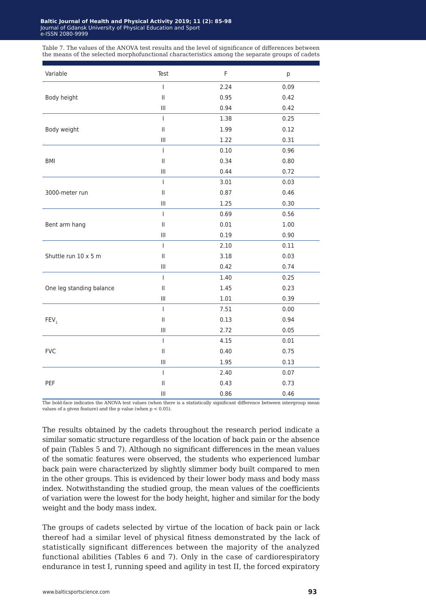Table 7. The values of the ANOVA test results and the level of significance of differences between the means of the selected morphofunctional characteristics among the separate groups of cadets

| Variable                 | Test                                                                                                                                                                                                                                                                                                                                                                             | $\mathsf F$ | p    |
|--------------------------|----------------------------------------------------------------------------------------------------------------------------------------------------------------------------------------------------------------------------------------------------------------------------------------------------------------------------------------------------------------------------------|-------------|------|
|                          | $\begin{array}{c} \rule{0pt}{2.5ex} \rule{0pt}{2.5ex} \rule{0pt}{2.5ex} \rule{0pt}{2.5ex} \rule{0pt}{2.5ex} \rule{0pt}{2.5ex} \rule{0pt}{2.5ex} \rule{0pt}{2.5ex} \rule{0pt}{2.5ex} \rule{0pt}{2.5ex} \rule{0pt}{2.5ex} \rule{0pt}{2.5ex} \rule{0pt}{2.5ex} \rule{0pt}{2.5ex} \rule{0pt}{2.5ex} \rule{0pt}{2.5ex} \rule{0pt}{2.5ex} \rule{0pt}{2.5ex} \rule{0pt}{2.5ex} \rule{0$ | 2.24        | 0.09 |
| Body height              | $\mathop{\rm II}\nolimits$                                                                                                                                                                                                                                                                                                                                                       | 0.95        | 0.42 |
|                          | $\mathop{\rm III}\nolimits$                                                                                                                                                                                                                                                                                                                                                      | 0.94        | 0.42 |
|                          | T                                                                                                                                                                                                                                                                                                                                                                                | 1.38        | 0.25 |
| Body weight              | $\ensuremath{\mathsf{II}}$                                                                                                                                                                                                                                                                                                                                                       | 1.99        | 0.12 |
|                          | $\ensuremath{\mathsf{III}}\xspace$                                                                                                                                                                                                                                                                                                                                               | 1.22        | 0.31 |
|                          | T                                                                                                                                                                                                                                                                                                                                                                                | 0.10        | 0.96 |
| BMI                      | $\ensuremath{\mathsf{II}}$                                                                                                                                                                                                                                                                                                                                                       | 0.34        | 0.80 |
|                          | $\ensuremath{\mathsf{III}}\xspace$                                                                                                                                                                                                                                                                                                                                               | 0.44        | 0.72 |
|                          | $\mathsf I$                                                                                                                                                                                                                                                                                                                                                                      | 3.01        | 0.03 |
| 3000-meter run           | $\ensuremath{\mathsf{II}}$                                                                                                                                                                                                                                                                                                                                                       | 0.87        | 0.46 |
|                          | $\ensuremath{\mathsf{III}}\xspace$                                                                                                                                                                                                                                                                                                                                               | 1.25        | 0.30 |
|                          | $\mathsf I$                                                                                                                                                                                                                                                                                                                                                                      | 0.69        | 0.56 |
| Bent arm hang            | $\ensuremath{\mathsf{II}}$                                                                                                                                                                                                                                                                                                                                                       | 0.01        | 1.00 |
|                          | $\ensuremath{\mathsf{III}}\xspace$                                                                                                                                                                                                                                                                                                                                               | 0.19        | 0.90 |
|                          | $\mathbf{I}$                                                                                                                                                                                                                                                                                                                                                                     | 2.10        | 0.11 |
| Shuttle run 10 x 5 m     | $\ensuremath{\mathsf{II}}$                                                                                                                                                                                                                                                                                                                                                       | 3.18        | 0.03 |
|                          | $\ensuremath{\mathsf{III}}\xspace$                                                                                                                                                                                                                                                                                                                                               | 0.42        | 0.74 |
|                          | $\mathsf I$                                                                                                                                                                                                                                                                                                                                                                      | 1.40        | 0.25 |
| One leg standing balance | $\ensuremath{\mathsf{II}}$                                                                                                                                                                                                                                                                                                                                                       | 1.45        | 0.23 |
|                          | $\ensuremath{\mathsf{III}}\xspace$                                                                                                                                                                                                                                                                                                                                               | 1.01        | 0.39 |
|                          | $\mathbf{I}$                                                                                                                                                                                                                                                                                                                                                                     | 7.51        | 0.00 |
| FEV <sub>1</sub>         | $\ensuremath{\mathsf{II}}$                                                                                                                                                                                                                                                                                                                                                       | 0.13        | 0.94 |
|                          | $\ensuremath{\mathsf{III}}\xspace$                                                                                                                                                                                                                                                                                                                                               | 2.72        | 0.05 |
|                          | $\mathsf I$                                                                                                                                                                                                                                                                                                                                                                      | 4.15        | 0.01 |
| <b>FVC</b>               | $\ensuremath{\mathsf{II}}$                                                                                                                                                                                                                                                                                                                                                       | 0.40        | 0.75 |
|                          | $\ensuremath{\mathsf{III}}\xspace$                                                                                                                                                                                                                                                                                                                                               | 1.95        | 0.13 |
|                          | $\mathbf{I}$                                                                                                                                                                                                                                                                                                                                                                     | 2.40        | 0.07 |
| PEF                      | $\mathop{\rm II}\nolimits$                                                                                                                                                                                                                                                                                                                                                       | 0.43        | 0.73 |
|                          | $\ensuremath{\mathsf{III}}\xspace$                                                                                                                                                                                                                                                                                                                                               | 0.86        | 0.46 |

The bold-face indicates the ANOVA test values (when there is a statistically significant difference between intergroup mean values of a given feature) and the  $p$  value (when  $p < 0.05$ ).

The results obtained by the cadets throughout the research period indicate a similar somatic structure regardless of the location of back pain or the absence of pain (Tables 5 and 7). Although no significant differences in the mean values of the somatic features were observed, the students who experienced lumbar back pain were characterized by slightly slimmer body built compared to men in the other groups. This is evidenced by their lower body mass and body mass index. Notwithstanding the studied group, the mean values of the coefficients of variation were the lowest for the body height, higher and similar for the body weight and the body mass index.

The groups of cadets selected by virtue of the location of back pain or lack thereof had a similar level of physical fitness demonstrated by the lack of statistically significant differences between the majority of the analyzed functional abilities (Tables 6 and 7). Only in the case of cardiorespiratory endurance in test I, running speed and agility in test II, the forced expiratory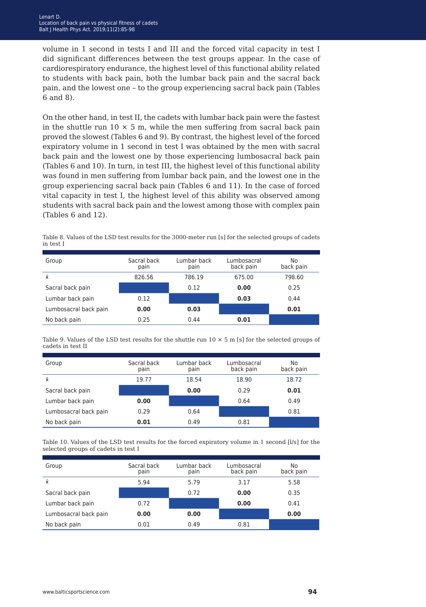volume in 1 second in tests I and III and the forced vital capacity in test I did significant differences between the test groups appear. In the case of cardiorespiratory endurance, the highest level of this functional ability related to students with back pain, both the lumbar back pain and the sacral back pain, and the lowest one – to the group experiencing sacral back pain (Tables 6 and 8).

On the other hand, in test II, the cadets with lumbar back pain were the fastest in the shuttle run  $10 \times 5$  m, while the men suffering from sacral back pain proved the slowest (Tables 6 and 9). By contrast, the highest level of the forced expiratory volume in 1 second in test I was obtained by the men with sacral back pain and the lowest one by those experiencing lumbosacral back pain (Tables 6 and 10). In turn, in test III, the highest level of this functional ability was found in men suffering from lumbar back pain, and the lowest one in the group experiencing sacral back pain (Tables 6 and 11). In the case of forced vital capacity in test I, the highest level of this ability was observed among students with sacral back pain and the lowest among those with complex pain (Tables 6 and 12).

|           | Table 8. Values of the LSD test results for the 3000-meter run [s] for the selected groups of cadets |  |  |
|-----------|------------------------------------------------------------------------------------------------------|--|--|
| in test I |                                                                                                      |  |  |
|           |                                                                                                      |  |  |

| Group                 | Sacral back<br>pain | Lumbar back<br>pain | Lumbosacral<br>back pain | No.<br>back pain |
|-----------------------|---------------------|---------------------|--------------------------|------------------|
| Ϋ́                    | 826.56              | 786.19              | 675.00                   | 798.60           |
| Sacral back pain      |                     | 0.12                | 0.00                     | 0.25             |
| Lumbar back pain      | 0.12                |                     | 0.03                     | 0.44             |
| Lumbosacral back pain | 0.00                | 0.03                |                          | 0.01             |
| No back pain          | 0.25                | 0.44                | 0.01                     |                  |

Table 9. Values of the LSD test results for the shuttle run  $10 \times 5$  m [s] for the selected groups of cadets in test II

| Group                 | Sacral back<br>pain | Lumbar back<br>pain | Lumbosacral<br>back pain | No<br>back pain |
|-----------------------|---------------------|---------------------|--------------------------|-----------------|
| Ŷ.                    | 19.77               | 18.54               | 18.90                    | 18.72           |
| Sacral back pain      |                     | 0.00                | 0.29                     | 0.01            |
| Lumbar back pain      | 0.00                |                     | 0.64                     | 0.49            |
| Lumbosacral back pain | 0.29                | 0.64                |                          | 0.81            |
| No back pain          | 0.01                | 0.49                | 0.81                     |                 |

Table 10. Values of the LSD test results for the forced expiratory volume in 1 second [l/s] for the selected groups of cadets in test I

| Group                 | Sacral back<br>pain | Lumbar back<br>pain | Lumbosacral<br>back pain | No<br>back pain |
|-----------------------|---------------------|---------------------|--------------------------|-----------------|
| $\bar{x}$             | 5.94                | 5.79                | 3.17                     | 5.58            |
| Sacral back pain      |                     | 0.72                | 0.00                     | 0.35            |
| Lumbar back pain      | 0.72                |                     | 0.00                     | 0.41            |
| Lumbosacral back pain | 0.00                | 0.00                |                          | 0.00            |
| No back pain          | 0.01                | 0.49                | 0.81                     |                 |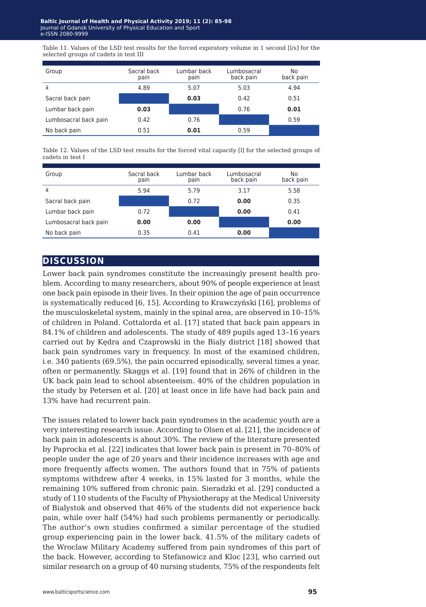Table 11. Values of the LSD test results for the forced expiratory volume in 1 second [l/s] for the selected groups of cadets in test III

| Group                 | Sacral back<br>pain | Lumbar back<br>pain | Lumbosacral<br>back pain | No<br>back pain |
|-----------------------|---------------------|---------------------|--------------------------|-----------------|
| Ŷ.                    | 4.89                | 5.07                | 5.03                     | 4.94            |
| Sacral back pain      |                     | 0.03                | 0.42                     | 0.51            |
| Lumbar back pain      | 0.03                |                     | 0.76                     | 0.01            |
| Lumbosacral back pain | 0.42                | 0.76                |                          | 0.59            |
| No back pain          | 0.51                | 0.01                | 0.59                     |                 |

Table 12. Values of the LSD test results for the forced vital capacity [l] for the selected groups of cadets in test I

| Group                 | Sacral back<br>pain | Lumbar back<br>pain | Lumbosacral<br>back pain | No<br>back pain |
|-----------------------|---------------------|---------------------|--------------------------|-----------------|
| Ŷ.                    | 5.94                | 5.79                | 3.17                     | 5.58            |
| Sacral back pain      |                     | 0.72                | 0.00                     | 0.35            |
| Lumbar back pain      | 0.72                |                     | 0.00                     | 0.41            |
| Lumbosacral back pain | 0.00                | 0.00                |                          | 0.00            |
| No back pain          | 0.35                | 0.41                | 0.00                     |                 |

### **discussion**

Lower back pain syndromes constitute the increasingly present health problem. According to many researchers, about 90% of people experience at least one back pain episode in their lives. In their opinion the age of pain occurrence is systematically reduced [6, 15]. According to Krawczyński [16], problems of the musculoskeletal system, mainly in the spinal area, are observed in 10–15% of children in Poland. Cottalorda et al. [17] stated that back pain appears in 84.1% of children and adolescents. The study of 489 pupils aged 13–16 years carried out by Kędra and Czaprowski in the Bialy district [18] showed that back pain syndromes vary in frequency. In most of the examined children, i.e. 340 patients (69.5%), the pain occurred episodically, several times a year, often or permanently. Skaggs et al. [19] found that in 26% of children in the UK back pain lead to school absenteeism. 40% of the children population in the study by Petersen et al. [20] at least once in life have had back pain and 13% have had recurrent pain.

The issues related to lower back pain syndromes in the academic youth are a very interesting research issue. According to Olsen et al. [21], the incidence of back pain in adolescents is about 30%. The review of the literature presented by Paprocka et al. [22] indicates that lower back pain is present in 70–80% of people under the age of 20 years and their incidence increases with age and more frequently affects women. The authors found that in 75% of patients symptoms withdrew after 4 weeks, in 15% lasted for 3 months, while the remaining 10% suffered from chronic pain. Sieradzki et al. [29] conducted a study of 110 students of the Faculty of Physiotherapy at the Medical University of Bialystok and observed that 46% of the students did not experience back pain, while over half (54%) had such problems permanently or periodically. The author's own studies confirmed a similar percentage of the studied group experiencing pain in the lower back. 41.5% of the military cadets of the Wroclaw Military Academy suffered from pain syndromes of this part of the back. However, according to Stefanowicz and Kloc [23], who carried out similar research on a group of 40 nursing students, 75% of the respondents felt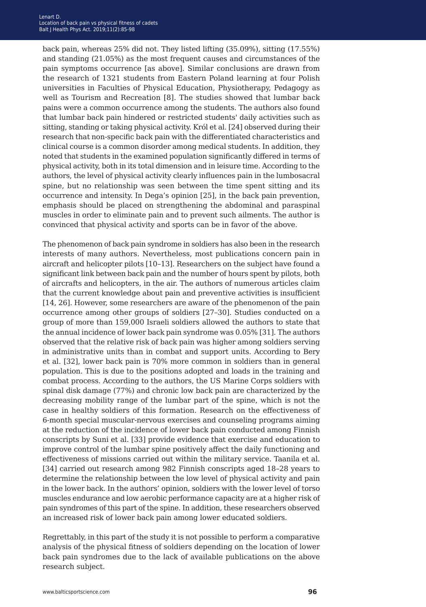back pain, whereas 25% did not. They listed lifting (35.09%), sitting (17.55%) and standing (21.05%) as the most frequent causes and circumstances of the pain symptoms occurrence [as above]. Similar conclusions are drawn from the research of 1321 students from Eastern Poland learning at four Polish universities in Faculties of Physical Education, Physiotherapy, Pedagogy as well as Tourism and Recreation [8]. The studies showed that lumbar back pains were a common occurrence among the students. The authors also found that lumbar back pain hindered or restricted students' daily activities such as sitting, standing or taking physical activity. Król et al. [24] observed during their research that non-specific back pain with the differentiated characteristics and clinical course is a common disorder among medical students. In addition, they noted that students in the examined population significantly differed in terms of physical activity, both in its total dimension and in leisure time. According to the authors, the level of physical activity clearly influences pain in the lumbosacral spine, but no relationship was seen between the time spent sitting and its occurrence and intensity. In Dega's opinion [25], in the back pain prevention, emphasis should be placed on strengthening the abdominal and paraspinal muscles in order to eliminate pain and to prevent such ailments. The author is convinced that physical activity and sports can be in favor of the above.

The phenomenon of back pain syndrome in soldiers has also been in the research interests of many authors. Nevertheless, most publications concern pain in aircraft and helicopter pilots [10–13]. Researchers on the subject have found a significant link between back pain and the number of hours spent by pilots, both of aircrafts and helicopters, in the air. The authors of numerous articles claim that the current knowledge about pain and preventive activities is insufficient [14, 26]. However, some researchers are aware of the phenomenon of the pain occurrence among other groups of soldiers [27–30]. Studies conducted on a group of more than 159,000 Israeli soldiers allowed the authors to state that the annual incidence of lower back pain syndrome was 0.05% [31]. The authors observed that the relative risk of back pain was higher among soldiers serving in administrative units than in combat and support units. According to Bery et al. [32], lower back pain is 70% more common in soldiers than in general population. This is due to the positions adopted and loads in the training and combat process. According to the authors, the US Marine Corps soldiers with spinal disk damage (77%) and chronic low back pain are characterized by the decreasing mobility range of the lumbar part of the spine, which is not the case in healthy soldiers of this formation. Research on the effectiveness of 6-month special muscular-nervous exercises and counseling programs aiming at the reduction of the incidence of lower back pain conducted among Finnish conscripts by Suni et al. [33] provide evidence that exercise and education to improve control of the lumbar spine positively affect the daily functioning and effectiveness of missions carried out within the military service. Taanila et al. [34] carried out research among 982 Finnish conscripts aged 18–28 years to determine the relationship between the low level of physical activity and pain in the lower back. In the authors' opinion, soldiers with the lower level of torso muscles endurance and low aerobic performance capacity are at a higher risk of pain syndromes of this part of the spine. In addition, these researchers observed an increased risk of lower back pain among lower educated soldiers.

Regrettably, in this part of the study it is not possible to perform a comparative analysis of the physical fitness of soldiers depending on the location of lower back pain syndromes due to the lack of available publications on the above research subject.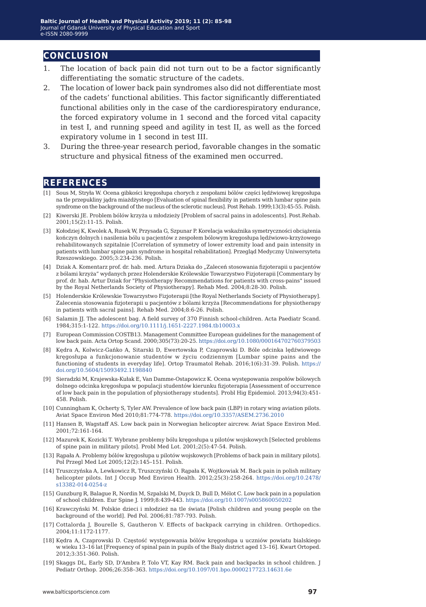### **conclusion**

- 1. The location of back pain did not turn out to be a factor significantly differentiating the somatic structure of the cadets.
- 2. The location of lower back pain syndromes also did not differentiate most of the cadets' functional abilities. This factor significantly differentiated functional abilities only in the case of the cardiorespiratory endurance, the forced expiratory volume in 1 second and the forced vital capacity in test I, and running speed and agility in test II, as well as the forced expiratory volume in 1 second in test III.
- 3. During the three-year research period, favorable changes in the somatic structure and physical fitness of the examined men occurred.

### **references**

- [1] Sous M, Stryła W. Ocena gibkości kręgosłupa chorych z zespołami bólów części lędźwiowej kręgosłupa na tle przepukliny jądra miażdżystego [Evaluation of spinal flexibility in patients with lumbar spine pain syndrome on the background of the nucleus of the sclerotic nucleus]. Post Rehab. 1999;13(3):45-55. Polish.
- [2] Kiwerski JE. Problem bólów krzyża u młodzieży [Problem of sacral pains in adolescents]. Post.Rehab. 2001;15(2):11-15. Polish.
- [3] Kołodziej K, Kwolek A, Rusek W, Przysada G, Szpunar P. Korelacja wskaźnika symetryczności obciążenia kończyn dolnych i nasilenia bólu u pacjentów z zespołem bólowym kręgosłupa lędźwiowo-krzyżowego rehabilitowanych szpitalnie [Correlation of symmetry of lower extremity load and pain intensity in patients with lumbar spine pain syndrome in hospital rehabilitation]. Przegląd Medyczny Uniwersytetu Rzeszowskiego. 2005;3:234-236. Polish.
- [4] Dziak A. Komentarz prof. dr. hab. med. Artura Dziaka do "Zaleceń stosowania fizjoterapii u pacjentów z bólami krzyża" wydanych przez Holenderskie Królewskie Towarzystwo Fizjoterapii [Commentary by prof. dr. hab. Artur Dziak for "Physiotherapy Recommendations for patients with cross-pains" issued by the Royal Netherlands Society of Physiotherapy]. Rehab Med. 2004;8:28-30. Polish.
- [5] Holenderskie Królewskie Towarzystwo Fizjoterapii [the Royal Netherlands Society of Physiotherapy]. Zalecenia stosowania fizjoterapii u pacjentów z bólami krzyża [Recommendations for physiotherapy in patients with sacral pains]. Rehab Med. 2004;8:6-26. Polish.
- [6] Salamin JJ. The adolescent bag. A field survey of 370 Finnish school-children. Acta Paediatr Scand. 1984;315:1-122.<https://doi.org/10.1111/j.1651-2227.1984.tb10003.x>
- [7] European Commission COSTB13. Management Committee European guidelines for the management of low back pain. Acta Ortop Scand. 2000;305(73):20-25.<https://doi.org/10.1080/000164702760379503>
- [8] Kędra A, Kolwicz-Gańko A, Sitarski D, Ewertowska P, Czaprowski D. Bóle odcinka lędźwiowego kręgosłupa a funkcjonowanie studentów w życiu codziennym [Lumbar spine pains and the functioning of students in everyday life]. Ortop Traumatol Rehab. 2016;1(6):31-39. Polish. [https://](https://doi.org/10.5604/15093492.1198840) [doi.org/10.5604/15093492.1198840](https://doi.org/10.5604/15093492.1198840)
- [9] Sieradzki M, Krajewska-Kułak E, Van Damme-Ostapowicz K. Ocena występowania zespołów bólowych dolnego odcinka kręgosłupa w populacji studentów kierunku fizjoterapia [Assessment of occurrence of low back pain in the population of physiotherapy students]. Probl Hig Epidemiol. 2013;94(3):451- 458. Polish.
- [10] Cunningham K, Ocherty S, Tyler AW. Prevalence of low back pain (LBP) in rotary wing aviation pilots. Aviat Space Environ Med 2010;81:774-778. <https://doi.org/10.3357/ASEM.2736.2010>
- [11] Hansen B, Wagstaff AS. Low back pain in Norwegian helicopter aircrew. Aviat Space Environ Med. 2001;72:161-164.
- [12] Mazurek K, Kozicki T. Wybrane problemy bólu kręgosłupa u pilotów wojskowych [Selected problems of spine pain in military pilots]. Probl Med Lot. 2001;2(5):47-54. Polish.
- [13] Rąpała A. Problemy bólów kręgosłupa u pilotów wojskowych [Problems of back pain in military pilots]. Pol Przegl Med Lot 2005;12(2):145–151. Polish.
- [14] Truszczyńska A, Lewkowicz R, Truszczyński O. Rąpała K, Wojtkowiak M. Back pain in polish military helicopter pilots. Int J Occup Med Environ Health. 2012;25(3):258-264. [https://doi.org/10.2478/](https://doi.org/10.2478/s13382-014-0254-z) [s13382-014-0254-z](https://doi.org/10.2478/s13382-014-0254-z)
- [15] Gunzburg R, Balague R, Nordin M, Szpalski M, Duyck D, Bull D, Mélot C. Low back pain in a population of school children. Eur Spine J. 1999;8:439-443.<https://doi.org/10.1007/s005860050202>
- [16] Krawczyński M. Polskie dzieci i młodzież na tle świata [Polish children and young people on the background of the world]. Ped Pol. 2006;81:787-793. Polish.
- [17] Cottalorda J, Bourelle S, Gautheron V. Effects of backpack carrying in children. Orthopedics. 2004;11:1172-1177.
- [18] Kędra A, Czaprowski D. Częstość występowania bólów kręgosłupa u uczniów powiatu bialskiego w wieku 13–16 lat [Frequency of spinal pain in pupils of the Bialy district aged 13–16]. Kwart Ortoped. 2012;3:351-360. Polish.
- [19] Skaggs DL, Early SD, D'Ambra P, Tolo VT, Kay RM. Back pain and backpacks in school children. J Pediatr Orthop. 2006;26:358–363.<https://doi.org/10.1097/01.bpo.0000217723.14631.6e>